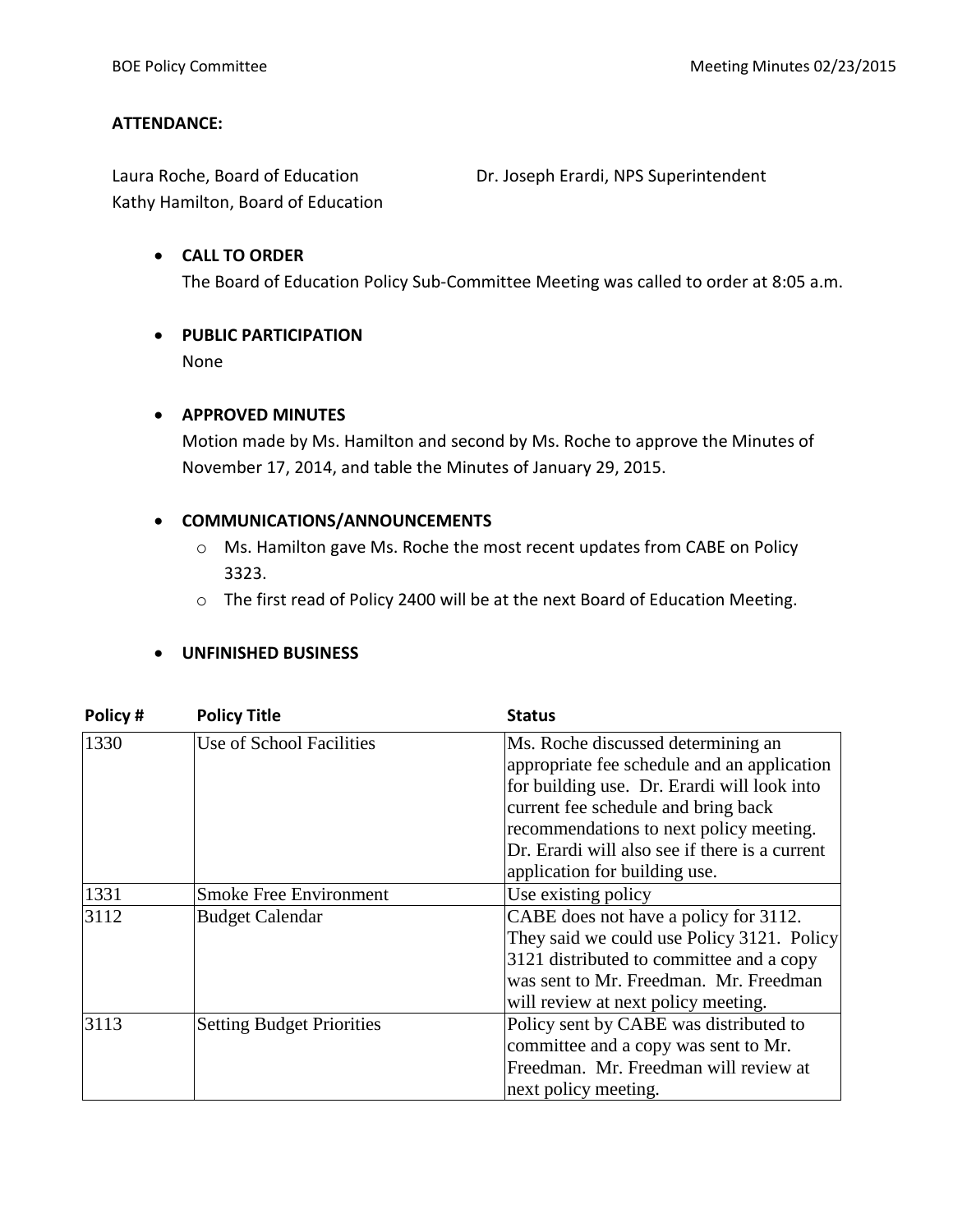#### **ATTENDANCE:**

Laura Roche, Board of Education **Dr. Joseph Erardi, NPS Superintendent** Kathy Hamilton, Board of Education

#### **CALL TO ORDER**

The Board of Education Policy Sub-Committee Meeting was called to order at 8:05 a.m.

# **PUBLIC PARTICIPATION**

None

## **APPROVED MINUTES**

Motion made by Ms. Hamilton and second by Ms. Roche to approve the Minutes of November 17, 2014, and table the Minutes of January 29, 2015.

## **COMMUNICATIONS/ANNOUNCEMENTS**

- o Ms. Hamilton gave Ms. Roche the most recent updates from CABE on Policy 3323.
- o The first read of Policy 2400 will be at the next Board of Education Meeting.

#### **UNFINISHED BUSINESS**

| Policy# | <b>Policy Title</b>              | <b>Status</b>                                  |
|---------|----------------------------------|------------------------------------------------|
| 1330    | Use of School Facilities         | Ms. Roche discussed determining an             |
|         |                                  | appropriate fee schedule and an application    |
|         |                                  | for building use. Dr. Erardi will look into    |
|         |                                  | current fee schedule and bring back            |
|         |                                  | recommendations to next policy meeting.        |
|         |                                  | Dr. Erardi will also see if there is a current |
|         |                                  | application for building use.                  |
| 1331    | <b>Smoke Free Environment</b>    | Use existing policy                            |
| 3112    | <b>Budget Calendar</b>           | CABE does not have a policy for 3112.          |
|         |                                  | They said we could use Policy 3121. Policy     |
|         |                                  | 3121 distributed to committee and a copy       |
|         |                                  | was sent to Mr. Freedman. Mr. Freedman         |
|         |                                  | will review at next policy meeting.            |
| 3113    | <b>Setting Budget Priorities</b> | Policy sent by CABE was distributed to         |
|         |                                  | committee and a copy was sent to Mr.           |
|         |                                  | Freedman. Mr. Freedman will review at          |
|         |                                  | next policy meeting.                           |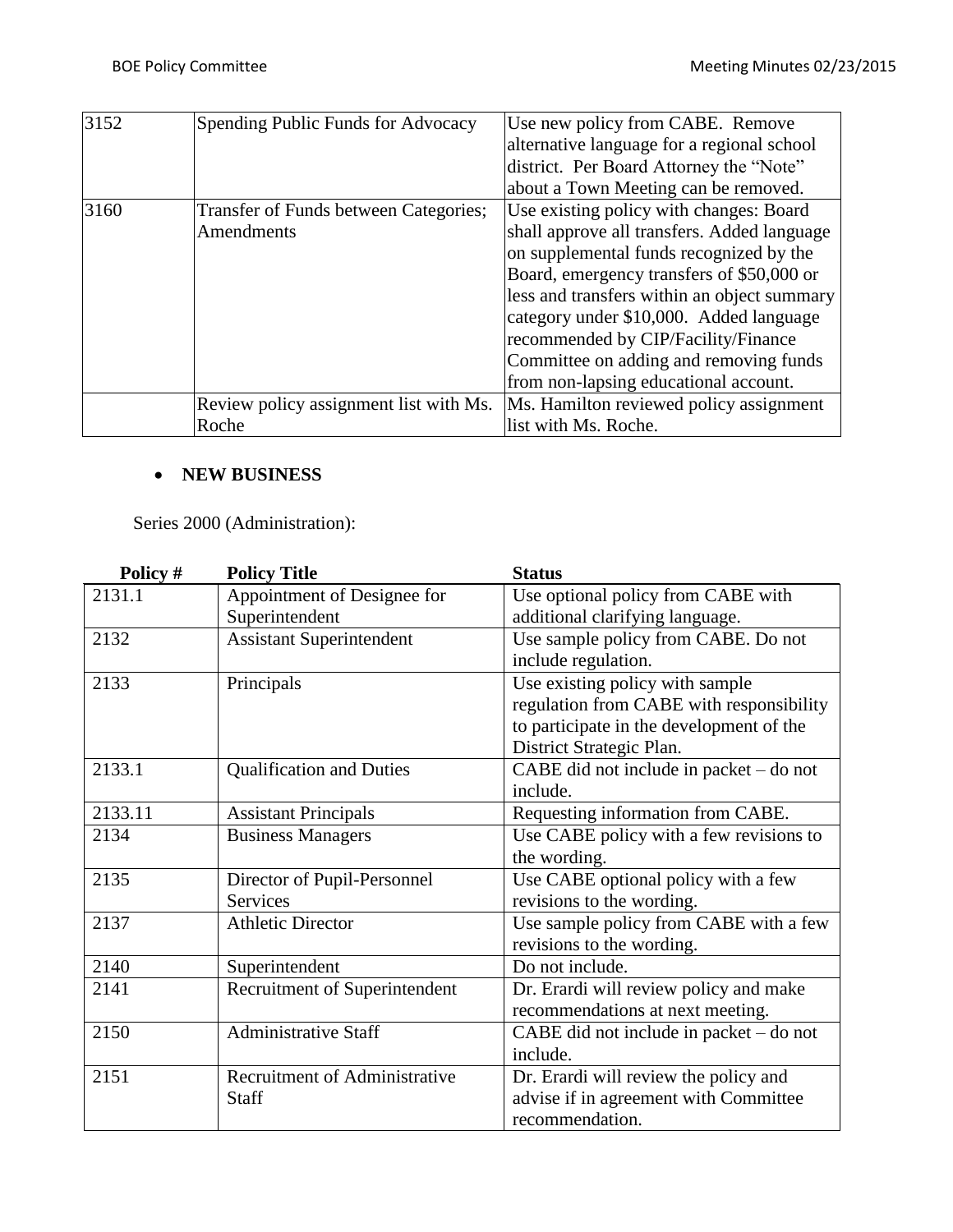| 3152 | Spending Public Funds for Advocacy     | Use new policy from CABE. Remove            |
|------|----------------------------------------|---------------------------------------------|
|      |                                        | alternative language for a regional school  |
|      |                                        | district. Per Board Attorney the "Note"     |
|      |                                        | about a Town Meeting can be removed.        |
| 3160 | Transfer of Funds between Categories;  | Use existing policy with changes: Board     |
|      | Amendments                             | shall approve all transfers. Added language |
|      |                                        | on supplemental funds recognized by the     |
|      |                                        | Board, emergency transfers of \$50,000 or   |
|      |                                        | less and transfers within an object summary |
|      |                                        | category under \$10,000. Added language     |
|      |                                        | recommended by CIP/Facility/Finance         |
|      |                                        | Committee on adding and removing funds      |
|      |                                        | from non-lapsing educational account.       |
|      | Review policy assignment list with Ms. | Ms. Hamilton reviewed policy assignment     |
|      | Roche                                  | list with Ms. Roche.                        |

## **NEW BUSINESS**

Series 2000 (Administration):

| Policy # | <b>Policy Title</b>                  | <b>Status</b>                               |
|----------|--------------------------------------|---------------------------------------------|
| 2131.1   | Appointment of Designee for          | Use optional policy from CABE with          |
|          | Superintendent                       | additional clarifying language.             |
| 2132     | <b>Assistant Superintendent</b>      | Use sample policy from CABE. Do not         |
|          |                                      | include regulation.                         |
| 2133     | Principals                           | Use existing policy with sample             |
|          |                                      | regulation from CABE with responsibility    |
|          |                                      | to participate in the development of the    |
|          |                                      | District Strategic Plan.                    |
| 2133.1   | <b>Qualification and Duties</b>      | $CABE$ did not include in packet $-$ do not |
|          |                                      | include.                                    |
| 2133.11  | <b>Assistant Principals</b>          | Requesting information from CABE.           |
| 2134     | <b>Business Managers</b>             | Use CABE policy with a few revisions to     |
|          |                                      | the wording.                                |
| 2135     | Director of Pupil-Personnel          | Use CABE optional policy with a few         |
|          | <b>Services</b>                      | revisions to the wording.                   |
| 2137     | <b>Athletic Director</b>             | Use sample policy from CABE with a few      |
|          |                                      | revisions to the wording.                   |
| 2140     | Superintendent                       | Do not include.                             |
| 2141     | Recruitment of Superintendent        | Dr. Erardi will review policy and make      |
|          |                                      | recommendations at next meeting.            |
| 2150     | <b>Administrative Staff</b>          | CABE did not include in packet – do not     |
|          |                                      | include.                                    |
| 2151     | <b>Recruitment of Administrative</b> | Dr. Erardi will review the policy and       |
|          | <b>Staff</b>                         | advise if in agreement with Committee       |
|          |                                      | recommendation.                             |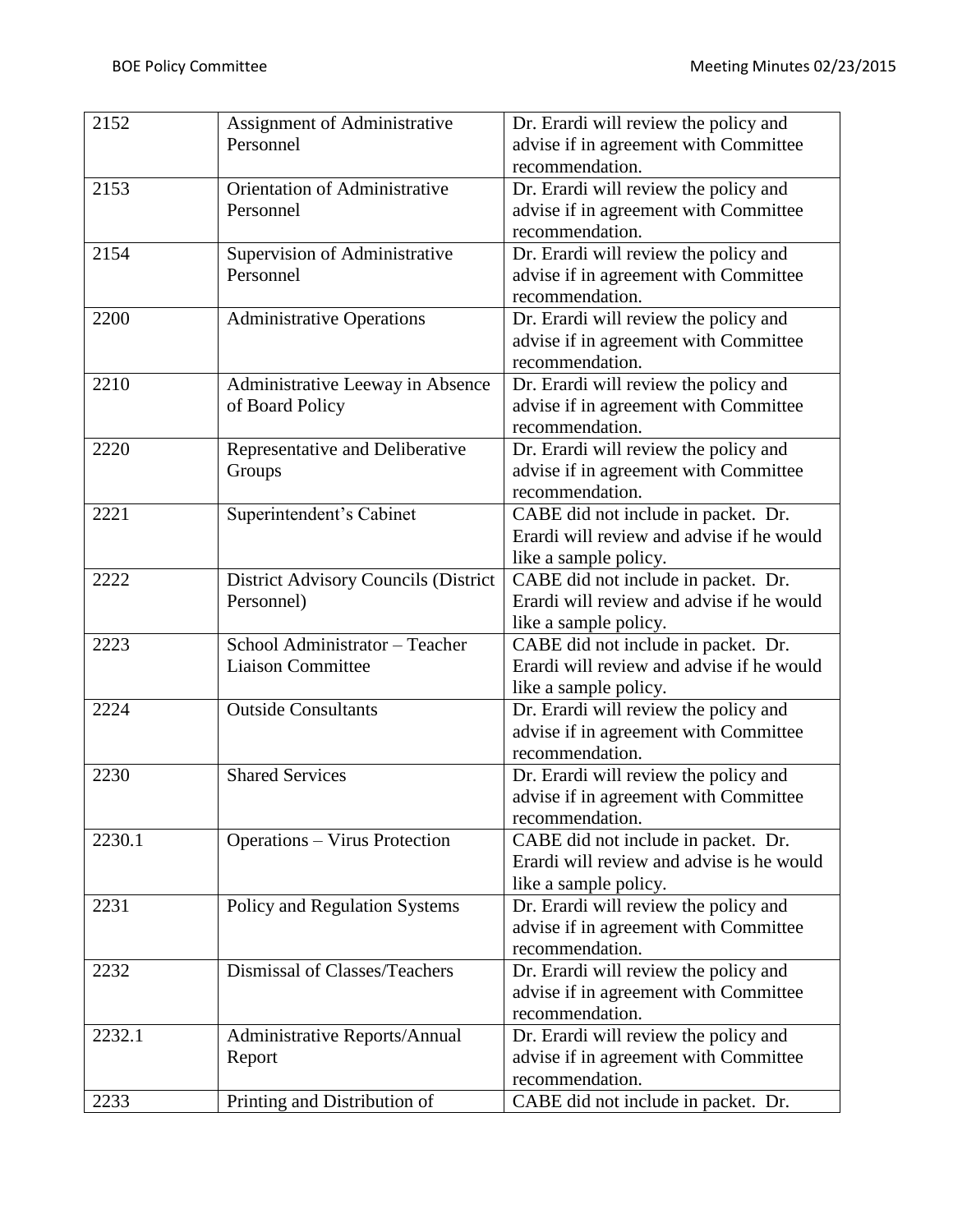| 2152   | Assignment of Administrative         | Dr. Erardi will review the policy and     |
|--------|--------------------------------------|-------------------------------------------|
|        | Personnel                            | advise if in agreement with Committee     |
|        |                                      | recommendation.                           |
| 2153   | Orientation of Administrative        | Dr. Erardi will review the policy and     |
|        | Personnel                            | advise if in agreement with Committee     |
|        |                                      | recommendation.                           |
| 2154   | Supervision of Administrative        | Dr. Erardi will review the policy and     |
|        | Personnel                            | advise if in agreement with Committee     |
|        |                                      | recommendation.                           |
| 2200   | <b>Administrative Operations</b>     | Dr. Erardi will review the policy and     |
|        |                                      | advise if in agreement with Committee     |
|        |                                      | recommendation.                           |
| 2210   | Administrative Leeway in Absence     | Dr. Erardi will review the policy and     |
|        | of Board Policy                      | advise if in agreement with Committee     |
|        |                                      | recommendation.                           |
| 2220   | Representative and Deliberative      | Dr. Erardi will review the policy and     |
|        | Groups                               | advise if in agreement with Committee     |
|        |                                      | recommendation.                           |
| 2221   | Superintendent's Cabinet             | CABE did not include in packet. Dr.       |
|        |                                      | Erardi will review and advise if he would |
|        |                                      | like a sample policy.                     |
| 2222   | District Advisory Councils (District | CABE did not include in packet. Dr.       |
|        | Personnel)                           | Erardi will review and advise if he would |
|        |                                      | like a sample policy.                     |
| 2223   | School Administrator - Teacher       | CABE did not include in packet. Dr.       |
|        | <b>Liaison Committee</b>             | Erardi will review and advise if he would |
|        |                                      | like a sample policy.                     |
| 2224   | <b>Outside Consultants</b>           | Dr. Erardi will review the policy and     |
|        |                                      | advise if in agreement with Committee     |
|        |                                      | recommendation.                           |
| 2230   | <b>Shared Services</b>               | Dr. Erardi will review the policy and     |
|        |                                      | advise if in agreement with Committee     |
|        |                                      | recommendation.                           |
| 2230.1 | <b>Operations - Virus Protection</b> | CABE did not include in packet. Dr.       |
|        |                                      | Erardi will review and advise is he would |
|        |                                      | like a sample policy.                     |
| 2231   | Policy and Regulation Systems        | Dr. Erardi will review the policy and     |
|        |                                      | advise if in agreement with Committee     |
|        |                                      | recommendation.                           |
| 2232   | Dismissal of Classes/Teachers        | Dr. Erardi will review the policy and     |
|        |                                      | advise if in agreement with Committee     |
|        |                                      | recommendation.                           |
| 2232.1 | Administrative Reports/Annual        | Dr. Erardi will review the policy and     |
|        | Report                               | advise if in agreement with Committee     |
|        |                                      | recommendation.                           |
| 2233   | Printing and Distribution of         | CABE did not include in packet. Dr.       |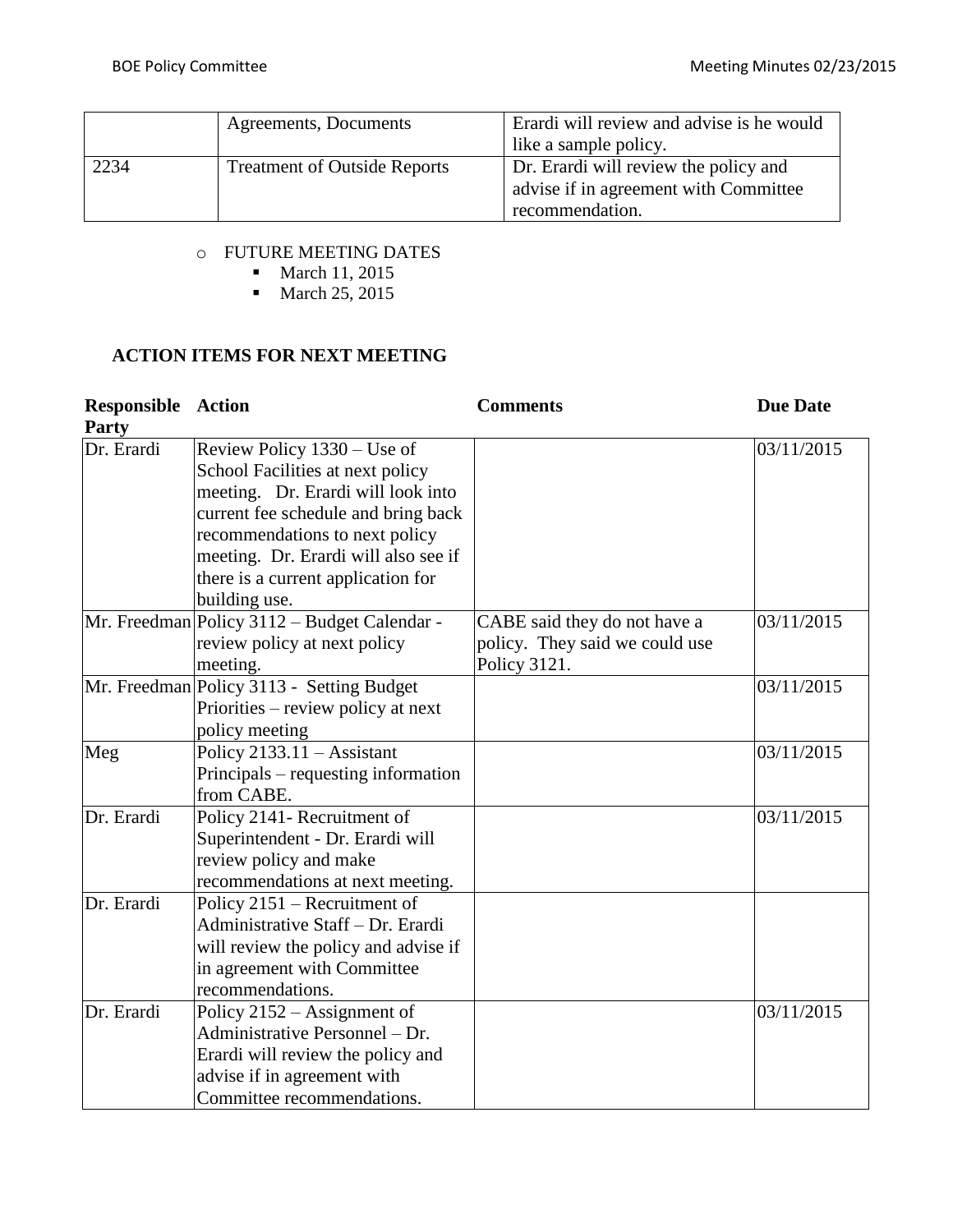|      | Agreements, Documents               | Erardi will review and advise is he would |  |
|------|-------------------------------------|-------------------------------------------|--|
|      |                                     | like a sample policy.                     |  |
| 2234 | <b>Treatment of Outside Reports</b> | Dr. Erardi will review the policy and     |  |
|      |                                     | advise if in agreement with Committee     |  |
|      |                                     | recommendation.                           |  |

## o FUTURE MEETING DATES

• March 11, 2015

• March 25, 2015

# **ACTION ITEMS FOR NEXT MEETING**

| <b>Responsible Action</b>  |                                              | <b>Comments</b>                | <b>Due Date</b> |
|----------------------------|----------------------------------------------|--------------------------------|-----------------|
| <b>Party</b><br>Dr. Erardi | Review Policy 1330 – Use of                  |                                | 03/11/2015      |
|                            | School Facilities at next policy             |                                |                 |
|                            | meeting. Dr. Erardi will look into           |                                |                 |
|                            | current fee schedule and bring back          |                                |                 |
|                            | recommendations to next policy               |                                |                 |
|                            | meeting. Dr. Erardi will also see if         |                                |                 |
|                            | there is a current application for           |                                |                 |
|                            | building use.                                |                                |                 |
|                            | Mr. Freedman Policy 3112 – Budget Calendar - | CABE said they do not have a   | 03/11/2015      |
|                            | review policy at next policy                 | policy. They said we could use |                 |
|                            | meeting.                                     | Policy 3121.                   |                 |
|                            | Mr. Freedman Policy 3113 - Setting Budget    |                                | 03/11/2015      |
|                            | Priorities – review policy at next           |                                |                 |
|                            | policy meeting                               |                                |                 |
| Meg                        | Policy $2133.11 -$ Assistant                 |                                | 03/11/2015      |
|                            | Principals – requesting information          |                                |                 |
|                            | from CABE.                                   |                                |                 |
| Dr. Erardi                 | Policy 2141- Recruitment of                  |                                | 03/11/2015      |
|                            | Superintendent - Dr. Erardi will             |                                |                 |
|                            | review policy and make                       |                                |                 |
|                            | recommendations at next meeting.             |                                |                 |
| Dr. Erardi                 | Policy 2151 – Recruitment of                 |                                |                 |
|                            | Administrative Staff - Dr. Erardi            |                                |                 |
|                            | will review the policy and advise if         |                                |                 |
|                            | in agreement with Committee                  |                                |                 |
|                            | recommendations.                             |                                |                 |
| Dr. Erardi                 | Policy $2152 -$ Assignment of                |                                | 03/11/2015      |
|                            | Administrative Personnel - Dr.               |                                |                 |
|                            | Erardi will review the policy and            |                                |                 |
|                            | advise if in agreement with                  |                                |                 |
|                            | Committee recommendations.                   |                                |                 |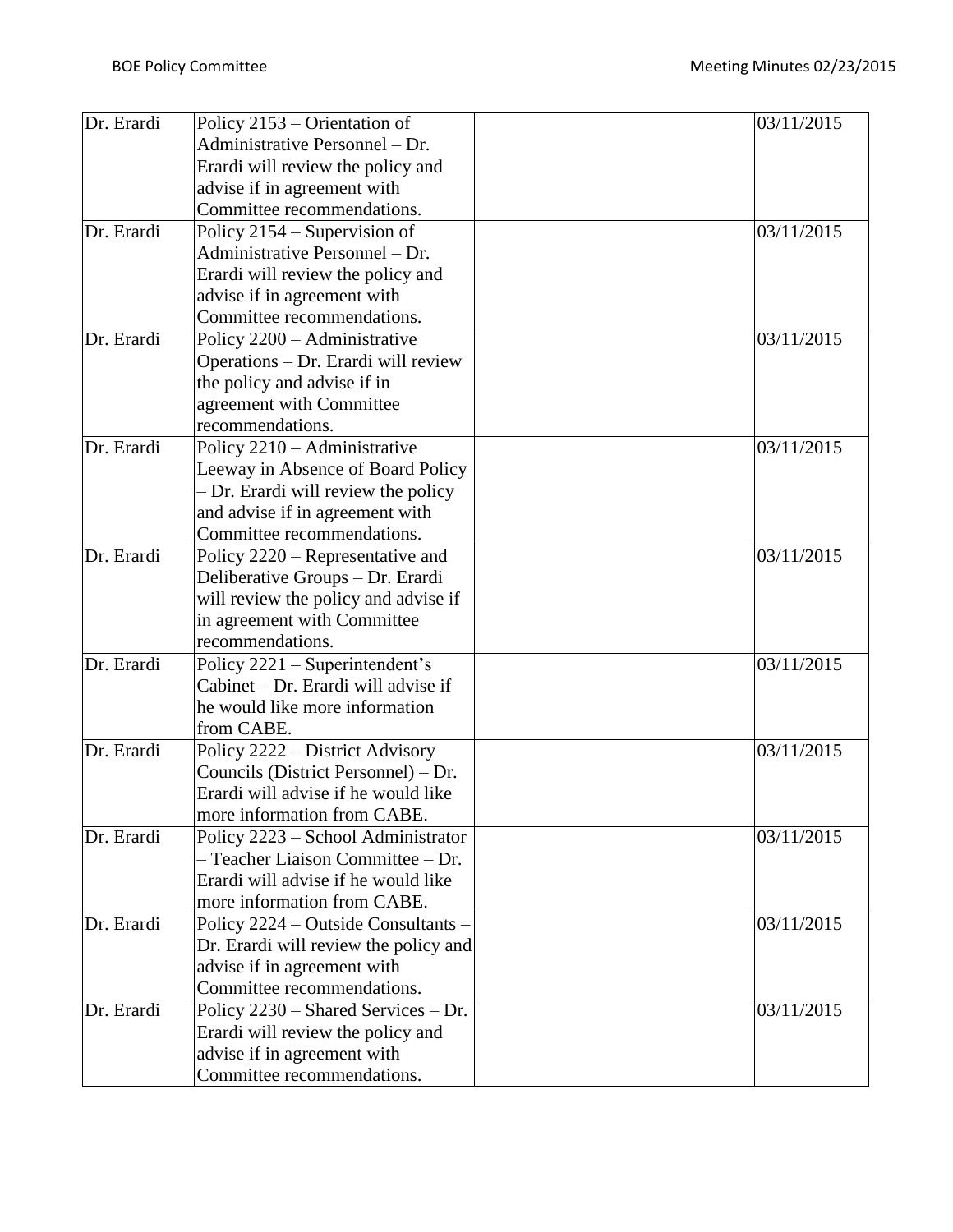| Dr. Erardi | Policy 2153 – Orientation of          | 03/11/2015 |
|------------|---------------------------------------|------------|
|            | Administrative Personnel – Dr.        |            |
|            | Erardi will review the policy and     |            |
|            | advise if in agreement with           |            |
|            | Committee recommendations.            |            |
| Dr. Erardi | Policy 2154 – Supervision of          | 03/11/2015 |
|            | Administrative Personnel - Dr.        |            |
|            | Erardi will review the policy and     |            |
|            | advise if in agreement with           |            |
|            | Committee recommendations.            |            |
| Dr. Erardi | Policy 2200 - Administrative          | 03/11/2015 |
|            | Operations - Dr. Erardi will review   |            |
|            | the policy and advise if in           |            |
|            | agreement with Committee              |            |
|            | recommendations.                      |            |
| Dr. Erardi | Policy 2210 - Administrative          | 03/11/2015 |
|            | Leeway in Absence of Board Policy     |            |
|            | - Dr. Erardi will review the policy   |            |
|            | and advise if in agreement with       |            |
|            | Committee recommendations.            |            |
| Dr. Erardi | Policy 2220 - Representative and      | 03/11/2015 |
|            | Deliberative Groups - Dr. Erardi      |            |
|            | will review the policy and advise if  |            |
|            | in agreement with Committee           |            |
|            | recommendations.                      |            |
| Dr. Erardi | Policy 2221 - Superintendent's        | 03/11/2015 |
|            | Cabinet – Dr. Erardi will advise if   |            |
|            | he would like more information        |            |
|            | from CABE.                            |            |
| Dr. Erardi | Policy 2222 - District Advisory       | 03/11/2015 |
|            | Councils (District Personnel) – Dr.   |            |
|            | Erardi will advise if he would like   |            |
|            | more information from CABE.           |            |
| Dr. Erardi | Policy 2223 - School Administrator    | 03/11/2015 |
|            | - Teacher Liaison Committee - Dr.     |            |
|            | Erardi will advise if he would like   |            |
|            | more information from CABE.           |            |
| Dr. Erardi | Policy 2224 – Outside Consultants –   | 03/11/2015 |
|            | Dr. Erardi will review the policy and |            |
|            | advise if in agreement with           |            |
| Dr. Erardi | Committee recommendations.            |            |
|            | Policy 2230 - Shared Services - Dr.   | 03/11/2015 |
|            | Erardi will review the policy and     |            |
|            | advise if in agreement with           |            |
|            | Committee recommendations.            |            |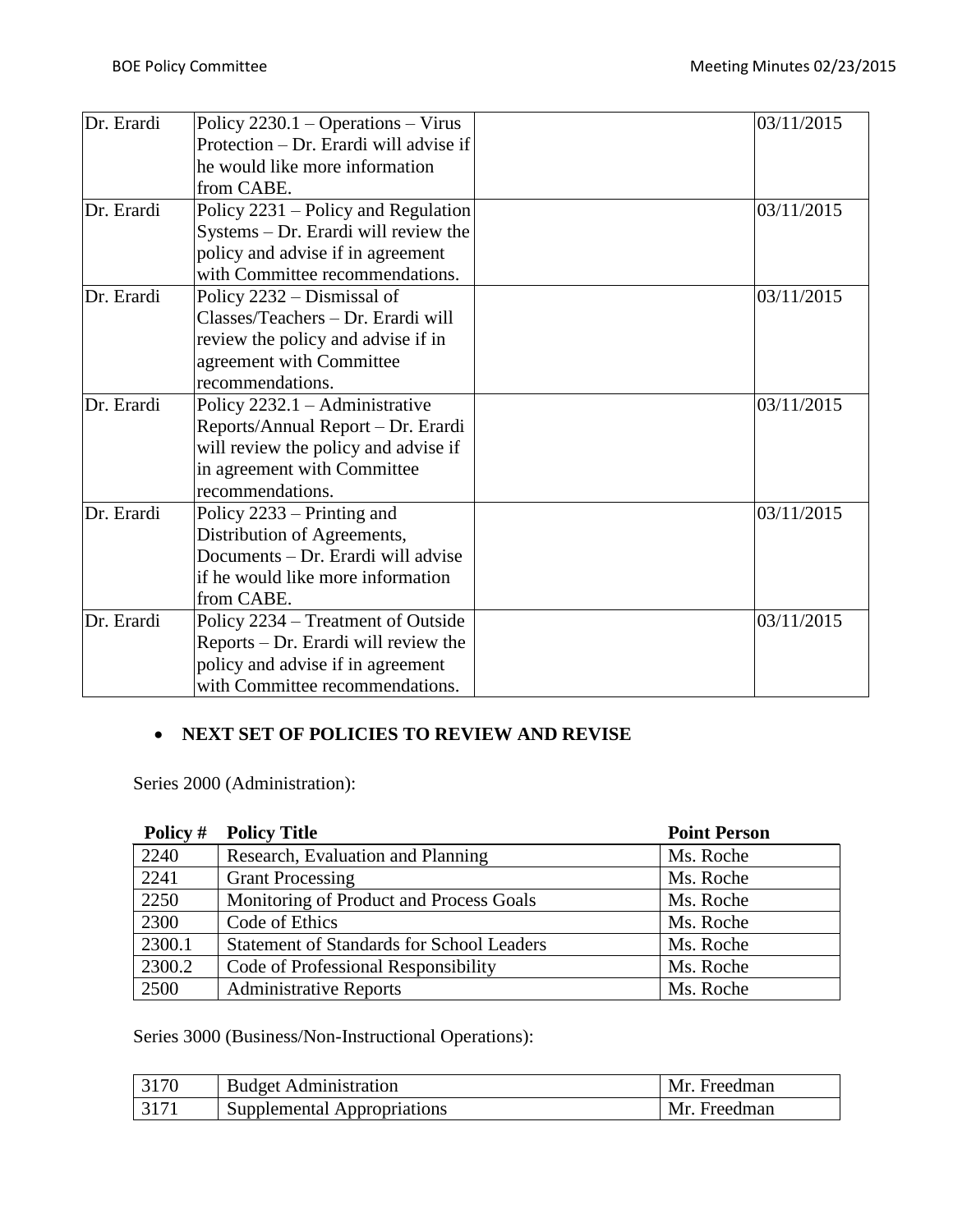| Dr. Erardi | Policy $2230.1 - Operations - Virus$   | 03/11/2015 |
|------------|----------------------------------------|------------|
|            | Protection – Dr. Erardi will advise if |            |
|            | he would like more information         |            |
|            | from CABE.                             |            |
| Dr. Erardi | Policy 2231 – Policy and Regulation    | 03/11/2015 |
|            | Systems – Dr. Erardi will review the   |            |
|            | policy and advise if in agreement      |            |
|            | with Committee recommendations.        |            |
| Dr. Erardi | Policy 2232 – Dismissal of             | 03/11/2015 |
|            | Classes/Teachers - Dr. Erardi will     |            |
|            | review the policy and advise if in     |            |
|            | agreement with Committee               |            |
|            | recommendations.                       |            |
| Dr. Erardi | Policy $2232.1 -$ Administrative       | 03/11/2015 |
|            | Reports/Annual Report – Dr. Erardi     |            |
|            | will review the policy and advise if   |            |
|            | in agreement with Committee            |            |
|            | recommendations.                       |            |
| Dr. Erardi | Policy 2233 – Printing and             | 03/11/2015 |
|            | Distribution of Agreements,            |            |
|            | Documents – Dr. Erardi will advise     |            |
|            | if he would like more information      |            |
|            | from CABE.                             |            |
| Dr. Erardi | Policy 2234 – Treatment of Outside     | 03/11/2015 |
|            | Reports – Dr. Erardi will review the   |            |
|            | policy and advise if in agreement      |            |
|            | with Committee recommendations.        |            |

## **NEXT SET OF POLICIES TO REVIEW AND REVISE**

Series 2000 (Administration):

| Policy # | <b>Policy Title</b>                              | <b>Point Person</b> |
|----------|--------------------------------------------------|---------------------|
| 2240     | Research, Evaluation and Planning                | Ms. Roche           |
| 2241     | <b>Grant Processing</b>                          | Ms. Roche           |
| 2250     | Monitoring of Product and Process Goals          | Ms. Roche           |
| 2300     | Code of Ethics                                   | Ms. Roche           |
| 2300.1   | <b>Statement of Standards for School Leaders</b> | Ms. Roche           |
| 2300.2   | Code of Professional Responsibility              | Ms. Roche           |
| 2500     | <b>Administrative Reports</b>                    | Ms. Roche           |

Series 3000 (Business/Non-Instructional Operations):

| <b>Budget Administration</b> | Mr. Freedman |
|------------------------------|--------------|
| Supplemental Appropriations  | Mr. Freedman |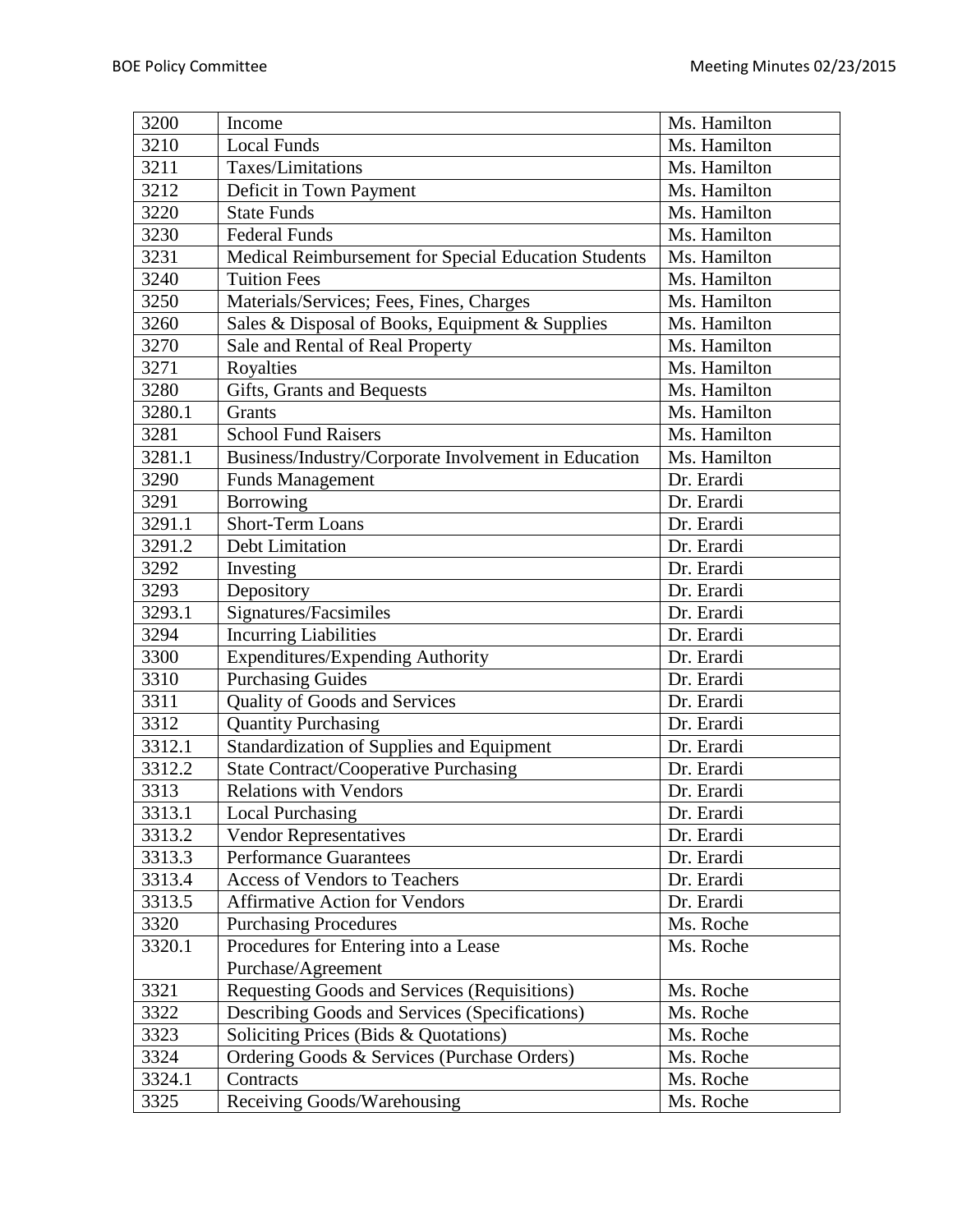| 3200   | Income                                               | Ms. Hamilton |
|--------|------------------------------------------------------|--------------|
| 3210   | <b>Local Funds</b>                                   | Ms. Hamilton |
| 3211   | Taxes/Limitations                                    | Ms. Hamilton |
| 3212   | Deficit in Town Payment                              | Ms. Hamilton |
| 3220   | <b>State Funds</b>                                   | Ms. Hamilton |
| 3230   | <b>Federal Funds</b>                                 | Ms. Hamilton |
| 3231   | Medical Reimbursement for Special Education Students | Ms. Hamilton |
| 3240   | <b>Tuition Fees</b>                                  | Ms. Hamilton |
| 3250   | Materials/Services; Fees, Fines, Charges             | Ms. Hamilton |
| 3260   | Sales & Disposal of Books, Equipment & Supplies      | Ms. Hamilton |
| 3270   | Sale and Rental of Real Property                     | Ms. Hamilton |
| 3271   | Royalties                                            | Ms. Hamilton |
| 3280   | Gifts, Grants and Bequests                           | Ms. Hamilton |
| 3280.1 | Grants                                               | Ms. Hamilton |
| 3281   | <b>School Fund Raisers</b>                           | Ms. Hamilton |
| 3281.1 | Business/Industry/Corporate Involvement in Education | Ms. Hamilton |
| 3290   | <b>Funds Management</b>                              | Dr. Erardi   |
| 3291   | Borrowing                                            | Dr. Erardi   |
| 3291.1 | Short-Term Loans                                     | Dr. Erardi   |
| 3291.2 | <b>Debt Limitation</b>                               | Dr. Erardi   |
| 3292   | Investing                                            | Dr. Erardi   |
| 3293   | Depository                                           | Dr. Erardi   |
| 3293.1 | Signatures/Facsimiles                                | Dr. Erardi   |
| 3294   | <b>Incurring Liabilities</b>                         | Dr. Erardi   |
| 3300   | Expenditures/Expending Authority                     | Dr. Erardi   |
| 3310   | <b>Purchasing Guides</b>                             | Dr. Erardi   |
| 3311   | Quality of Goods and Services                        | Dr. Erardi   |
| 3312   | <b>Quantity Purchasing</b>                           | Dr. Erardi   |
| 3312.1 | Standardization of Supplies and Equipment            | Dr. Erardi   |
| 3312.2 | <b>State Contract/Cooperative Purchasing</b>         | Dr. Erardi   |
| 3313   | <b>Relations with Vendors</b>                        | Dr. Erardi   |
| 3313.1 | <b>Local Purchasing</b>                              | Dr. Erardi   |
| 3313.2 | <b>Vendor Representatives</b>                        | Dr. Erardi   |
| 3313.3 | <b>Performance Guarantees</b>                        | Dr. Erardi   |
| 3313.4 | Access of Vendors to Teachers                        | Dr. Erardi   |
| 3313.5 | <b>Affirmative Action for Vendors</b>                | Dr. Erardi   |
| 3320   | <b>Purchasing Procedures</b>                         | Ms. Roche    |
| 3320.1 | Procedures for Entering into a Lease                 | Ms. Roche    |
|        | Purchase/Agreement                                   |              |
| 3321   | Requesting Goods and Services (Requisitions)         | Ms. Roche    |
| 3322   | Describing Goods and Services (Specifications)       | Ms. Roche    |
| 3323   | Soliciting Prices (Bids & Quotations)                | Ms. Roche    |
| 3324   | Ordering Goods & Services (Purchase Orders)          | Ms. Roche    |
| 3324.1 | Contracts                                            | Ms. Roche    |
| 3325   | Receiving Goods/Warehousing                          | Ms. Roche    |